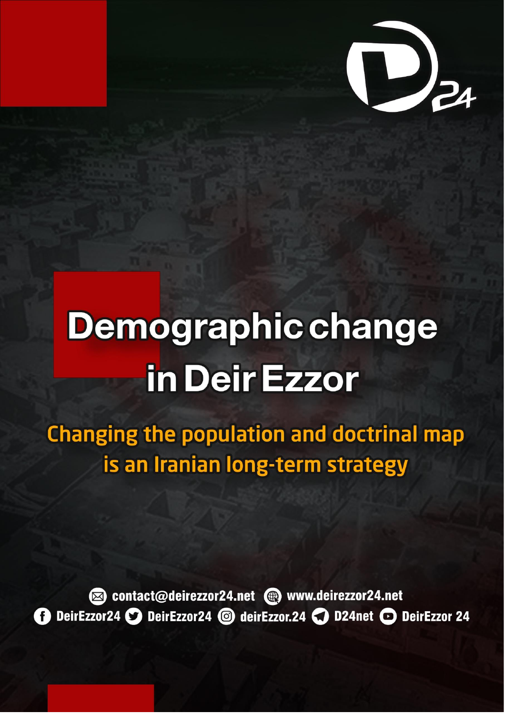# **Demographic change** in Deir Ezzor

**Changing the population and doctrinal map** is an Iranian long-term strategy



contact@deirezzor24.net @ www.deirezzor24.net DeirEzzor24 DeirEzzor24 @ deirEzzor.24 C D24net O DeirEzzor 24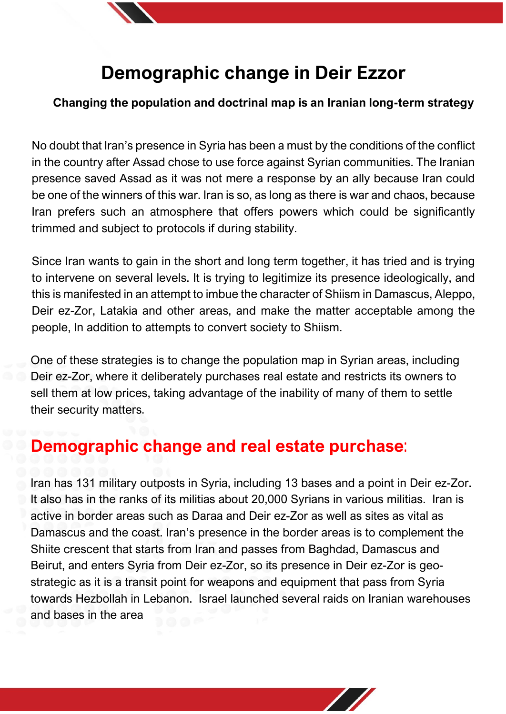

# **Demographic change in Deir Ezzor**

#### **Changing the population and doctrinal map is an Iranian long-term strategy**

No doubt that Iran's presence in Syria has been a must by the conditions of the conflict in the country after Assad chose to use force against Syrian communities. The Iranian presence saved Assad as it was not mere a response by an ally because Iran could be one of the winners of this war. Iran is so, as long as there is war and chaos, because Iran prefers such an atmosphere that offers powers which could be significantly trimmed and subject to protocols if during stability.

Since Iran wants to gain in the short and long term together, it has tried and is trying to intervene on several levels. It is trying to legitimize its presence ideologically, and this is manifested in an attempt to imbue the character of Shiism in Damascus, Aleppo, Deir ez-Zor, Latakia and other areas, and make the matter acceptable among the people, In addition to attempts to convert society to Shiism.

One of these strategies is to change the population map in Syrian areas, including Deir ez-Zor, where it deliberately purchases real estate and restricts its owners to sell them at low prices, taking advantage of the inability of many of them to settle their security matters.

## **Demographic change and real estate purchase**:

Iran has 131 military outposts in Syria, including 13 bases and a point in Deir ez-Zor. It also has in the ranks of its militias about 20,000 Syrians in various militias. Iran is active in border areas such as Daraa and Deir ez-Zor as well as sites as vital as Damascus and the coast. Iran's presence in the border areas is to complement the Shiite crescent that starts from Iran and passes from Baghdad, Damascus and Beirut, and enters Syria from Deir ez-Zor, so its presence in Deir ez-Zor is geostrategic as it is a transit point for weapons and equipment that pass from Syria towards Hezbollah in Lebanon. Israel launched several raids on Iranian warehouses and bases in the area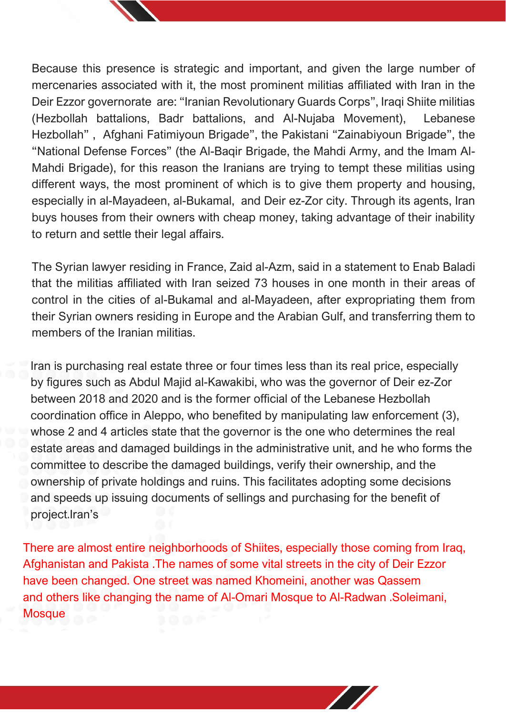

Because this presence is strategic and important, and given the large number of mercenaries associated with it, the most prominent militias affiliated with Iran in the Deir Ezzor governorate are: "Iranian Revolutionary Guards Corps", Iraqi Shiite militias (Hezbollah battalions, Badr battalions, and Al-Nujaba Movement), Lebanese Hezbollah" , Afghani Fatimiyoun Brigade", the Pakistani "Zainabiyoun Brigade", the "National Defense Forces" (the Al-Baqir Brigade, the Mahdi Army, and the Imam Al-Mahdi Brigade), for this reason the Iranians are trying to tempt these militias using different ways, the most prominent of which is to give them property and housing, especially in al-Mayadeen, al-Bukamal, and Deir ez-Zor city. Through its agents, Iran buys houses from their owners with cheap money, taking advantage of their inability to return and settle their legal affairs.

The Syrian lawyer residing in France, Zaid al-Azm, said in a statement to Enab Baladi that the militias affiliated with Iran seized 73 houses in one month in their areas of control in the cities of al-Bukamal and al-Mayadeen, after expropriating them from their Syrian owners residing in Europe and the Arabian Gulf, and transferring them to members of the Iranian militias.

Iran is purchasing real estate three or four times less than its real price, especially by figures such as Abdul Majid al-Kawakibi, who was the governor of Deir ez-Zor between 2018 and 2020 and is the former official of the Lebanese Hezbollah coordination office in Aleppo, who benefited by manipulating law enforcement (3), whose 2 and 4 articles state that the governor is the one who determines the real estate areas and damaged buildings in the administrative unit, and he who forms the committee to describe the damaged buildings, verify their ownership, and the ownership of private holdings and ruins. This facilitates adopting some decisions and speeds up issuing documents of sellings and purchasing for the benefit of project.Iran's

There are almost entire neighborhoods of Shiites, especially those coming from Iraq, Afghanistan and Pakista .The names of some vital streets in the city of Deir Ezzor have been changed. One street was named Khomeini, another was Qassem and others like changing the name of Al-Omari Mosque to Al-Radwan .Soleimani, **Mosque**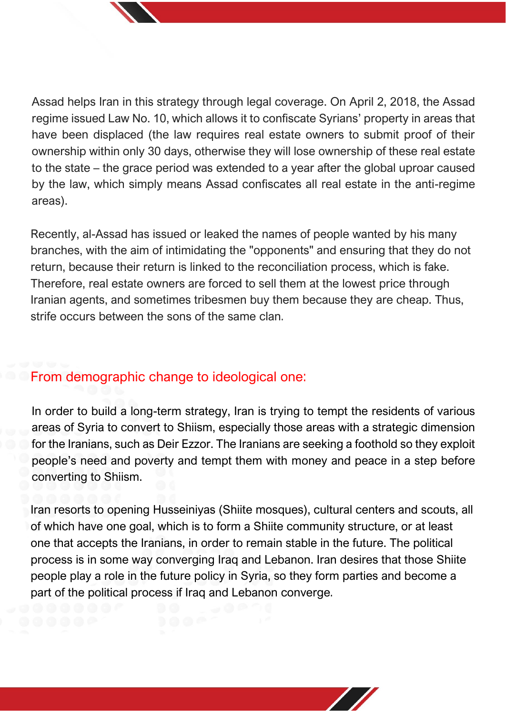Assad helps Iran in this strategy through legal coverage. On April 2, 2018, the Assad regime issued Law No. 10, which allows it to confiscate Syrians' property in areas that have been displaced (the law requires real estate owners to submit proof of their ownership within only 30 days, otherwise they will lose ownership of these real estate to the state – the grace period was extended to a year after the global uproar caused by the law, which simply means Assad confiscates all real estate in the anti-regime areas).

Recently, al-Assad has issued or leaked the names of people wanted by his many branches, with the aim of intimidating the "opponents" and ensuring that they do not return, because their return is linked to the reconciliation process, which is fake. Therefore, real estate owners are forced to sell them at the lowest price through Iranian agents, and sometimes tribesmen buy them because they are cheap. Thus, strife occurs between the sons of the same clan.

### From demographic change to ideological one:

In order to build a long-term strategy, Iran is trying to tempt the residents of various areas of Syria to convert to Shiism, especially those areas with a strategic dimension for the Iranians, such as Deir Ezzor. The Iranians are seeking a foothold so they exploit people's need and poverty and tempt them with money and peace in a step before converting to Shiism.

Iran resorts to opening Husseiniyas (Shiite mosques), cultural centers and scouts, all of which have one goal, which is to form a Shiite community structure, or at least one that accepts the Iranians, in order to remain stable in the future. The political process is in some way converging Iraq and Lebanon. Iran desires that those Shiite people play a role in the future policy in Syria, so they form parties and become a part of the political process if Iraq and Lebanon converge.